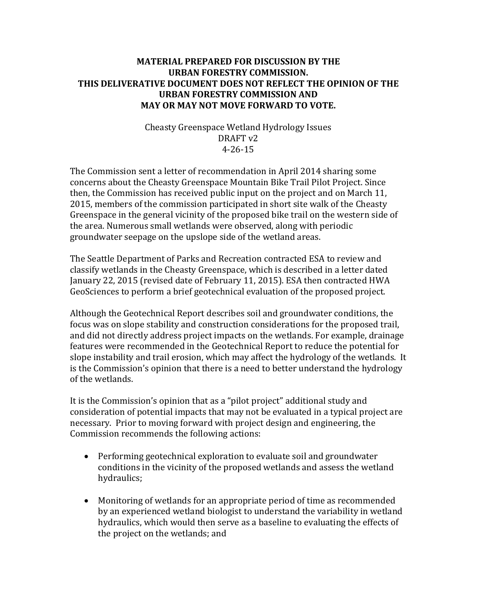## **MATERIAL PREPARED FOR DISCUSSION BY THE URBAN FORESTRY COMMISSION. THIS DELIVERATIVE DOCUMENT DOES NOT REFLECT THE OPINION OF THE URBAN FORESTRY COMMISSION AND MAY OR MAY NOT MOVE FORWARD TO VOTE.**

Cheasty Greenspace Wetland Hydrology Issues DRAFT v2 4-26-15

The Commission sent a letter of recommendation in April 2014 sharing some concerns about the Cheasty Greenspace Mountain Bike Trail Pilot Project. Since then, the Commission has received public input on the project and on March 11, 2015, members of the commission participated in short site walk of the Cheasty Greenspace in the general vicinity of the proposed bike trail on the western side of the area. Numerous small wetlands were observed, along with periodic groundwater seepage on the upslope side of the wetland areas.

The Seattle Department of Parks and Recreation contracted ESA to review and classify wetlands in the Cheasty Greenspace, which is described in a letter dated January 22, 2015 (revised date of February 11, 2015). ESA then contracted HWA GeoSciences to perform a brief geotechnical evaluation of the proposed project.

Although the Geotechnical Report describes soil and groundwater conditions, the focus was on slope stability and construction considerations for the proposed trail, and did not directly address project impacts on the wetlands. For example, drainage features were recommended in the Geotechnical Report to reduce the potential for slope instability and trail erosion, which may affect the hydrology of the wetlands. It is the Commission's opinion that there is a need to better understand the hydrology of the wetlands.

It is the Commission's opinion that as a "pilot project" additional study and consideration of potential impacts that may not be evaluated in a typical project are necessary. Prior to moving forward with project design and engineering, the Commission recommends the following actions:

- Performing geotechnical exploration to evaluate soil and groundwater conditions in the vicinity of the proposed wetlands and assess the wetland hydraulics;
- Monitoring of wetlands for an appropriate period of time as recommended by an experienced wetland biologist to understand the variability in wetland hydraulics, which would then serve as a baseline to evaluating the effects of the project on the wetlands; and